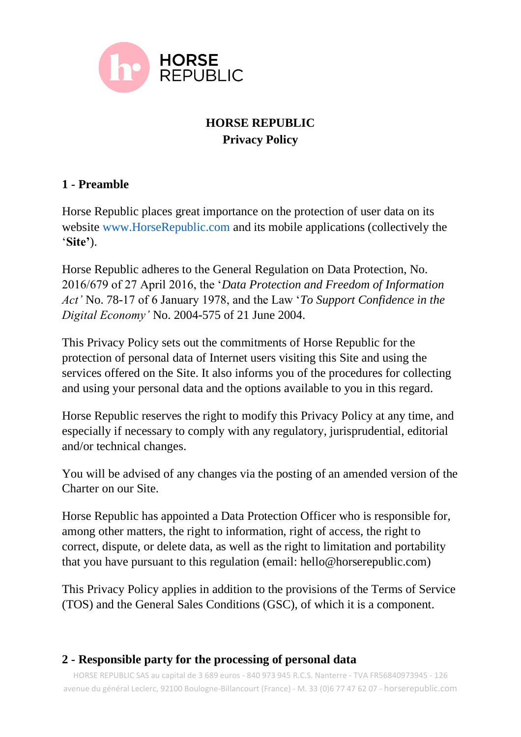

# **HORSE REPUBLIC Privacy Policy**

## **1 - Preamble**

Horse Republic places great importance on the protection of user data on its website www.HorseRepublic.com and its mobile applications (collectively the '**Site'**).

Horse Republic adheres to the General Regulation on Data Protection, No. 2016/679 of 27 April 2016, the '*Data Protection and Freedom of Information Act'* No. 78-17 of 6 January 1978, and the Law '*To Support Confidence in the Digital Economy'* No. 2004-575 of 21 June 2004.

This Privacy Policy sets out the commitments of Horse Republic for the protection of personal data of Internet users visiting this Site and using the services offered on the Site. It also informs you of the procedures for collecting and using your personal data and the options available to you in this regard.

Horse Republic reserves the right to modify this Privacy Policy at any time, and especially if necessary to comply with any regulatory, jurisprudential, editorial and/or technical changes.

You will be advised of any changes via the posting of an amended version of the Charter on our Site.

Horse Republic has appointed a Data Protection Officer who is responsible for, among other matters, the right to information, right of access, the right to correct, dispute, or delete data, as well as the right to limitation and portability that you have pursuant to this regulation (email: hello@horserepublic.com)

This Privacy Policy applies in addition to the provisions of the Terms of Service (TOS) and the General Sales Conditions (GSC), of which it is a component.

### **2 - Responsible party for the processing of personal data**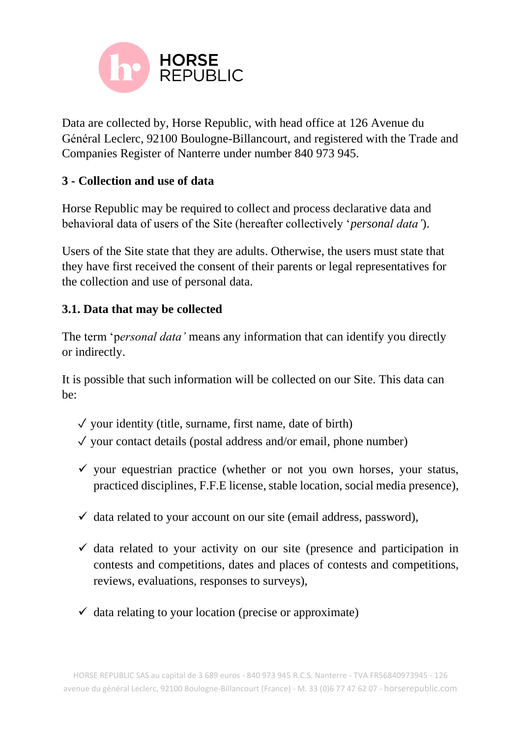

Data are collected by, Horse Republic, with head office at 126 Avenue du Général Leclerc, 92100 Boulogne-Billancourt, and registered with the Trade and Companies Register of Nanterre under number 840 973 945.

### **3 - Collection and use of data**

Horse Republic may be required to collect and process declarative data and behavioral data of users of the Site (hereafter collectively '*personal data'*).

Users of the Site state that they are adults. Otherwise, the users must state that they have first received the consent of their parents or legal representatives for the collection and use of personal data.

### **3.1. Data that may be collected**

The term 'p*ersonal data'* means any information that can identify you directly or indirectly.

It is possible that such information will be collected on our Site. This data can be:

- $\sqrt{\ }$  your identity (title, surname, first name, date of birth)
- $\sqrt{\ }$  your contact details (postal address and/or email, phone number)
- $\checkmark$  your equestrian practice (whether or not you own horses, your status, practiced disciplines, F.F.E license, stable location, social media presence),
- $\checkmark$  data related to your account on our site (email address, password),
- $\checkmark$  data related to your activity on our site (presence and participation in contests and competitions, dates and places of contests and competitions, reviews, evaluations, responses to surveys),
- $\checkmark$  data relating to your location (precise or approximate)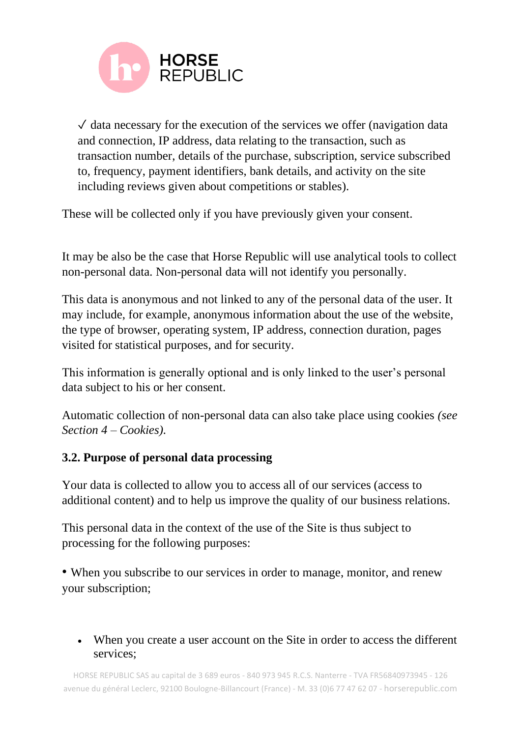

 $\sqrt{\ }$  data necessary for the execution of the services we offer (navigation data) and connection, IP address, data relating to the transaction, such as transaction number, details of the purchase, subscription, service subscribed to, frequency, payment identifiers, bank details, and activity on the site including reviews given about competitions or stables).

These will be collected only if you have previously given your consent.

It may be also be the case that Horse Republic will use analytical tools to collect non-personal data*.* Non-personal data will not identify you personally.

This data is anonymous and not linked to any of the personal data of the user. It may include, for example, anonymous information about the use of the website, the type of browser, operating system, IP address, connection duration, pages visited for statistical purposes, and for security.

This information is generally optional and is only linked to the user's personal data subject to his or her consent.

Automatic collection of non-personal data can also take place using cookies *(see Section 4 – Cookies).* 

### **3.2. Purpose of personal data processing**

Your data is collected to allow you to access all of our services (access to additional content) and to help us improve the quality of our business relations.

This personal data in the context of the use of the Site is thus subject to processing for the following purposes:

• When you subscribe to our services in order to manage, monitor, and renew your subscription;

• When you create a user account on the Site in order to access the different services;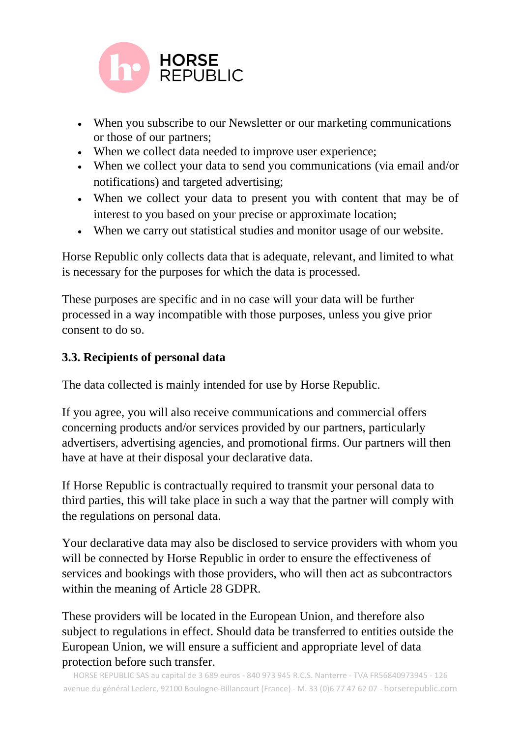

- When you subscribe to our Newsletter or our marketing communications or those of our partners;
- When we collect data needed to improve user experience;
- When we collect your data to send you communications (via email and/or notifications) and targeted advertising;
- When we collect your data to present you with content that may be of interest to you based on your precise or approximate location;
- When we carry out statistical studies and monitor usage of our website.

Horse Republic only collects data that is adequate, relevant, and limited to what is necessary for the purposes for which the data is processed.

These purposes are specific and in no case will your data will be further processed in a way incompatible with those purposes, unless you give prior consent to do so.

## **3.3. Recipients of personal data**

The data collected is mainly intended for use by Horse Republic.

If you agree, you will also receive communications and commercial offers concerning products and/or services provided by our partners, particularly advertisers, advertising agencies, and promotional firms. Our partners will then have at have at their disposal your declarative data.

If Horse Republic is contractually required to transmit your personal data to third parties, this will take place in such a way that the partner will comply with the regulations on personal data.

Your declarative data may also be disclosed to service providers with whom you will be connected by Horse Republic in order to ensure the effectiveness of services and bookings with those providers, who will then act as subcontractors within the meaning of Article 28 GDPR.

These providers will be located in the European Union, and therefore also subject to regulations in effect. Should data be transferred to entities outside the European Union, we will ensure a sufficient and appropriate level of data protection before such transfer.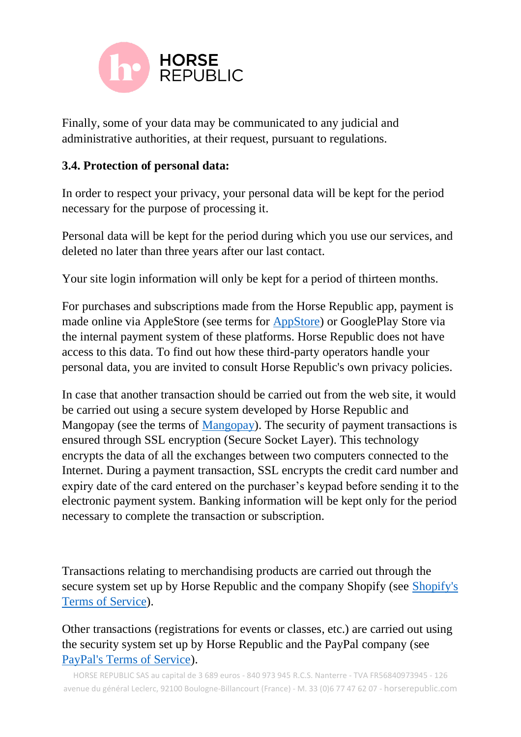

Finally, some of your data may be communicated to any judicial and administrative authorities, at their request, pursuant to regulations.

### **3.4. Protection of personal data:**

In order to respect your privacy, your personal data will be kept for the period necessary for the purpose of processing it.

Personal data will be kept for the period during which you use our services, and deleted no later than three years after our last contact.

Your site login information will only be kept for a period of thirteen months.

For purchases and subscriptions made from the Horse Republic app, payment is made online via AppleStore (see terms for [AppStore\)](https://www.apple.com/legal/internet-services/itunes/dev/stdeula/) or GooglePlay Store via the internal payment system of these platforms. Horse Republic does not have access to this data. To find out how these third-party operators handle your personal data, you are invited to consult Horse Republic's own privacy policies.

In case that another transaction should be carried out from the web site, it would be carried out using a secure system developed by Horse Republic and Mangopay (see the terms of [Mangopay\)](https://www.mangopay.com/fr/privacy/). The security of payment transactions is ensured through SSL encryption (Secure Socket Layer). This technology encrypts the data of all the exchanges between two computers connected to the Internet. During a payment transaction, SSL encrypts the credit card number and expiry date of the card entered on the purchaser's keypad before sending it to the electronic payment system. Banking information will be kept only for the period necessary to complete the transaction or subscription.

Transactions relating to merchandising products are carried out through the secure system set up by Horse Republic and the company Shopify (see [Shopify's](https://www.shopify.fr/legal/privacy/customers)  [Terms of Service\)](https://www.shopify.fr/legal/privacy/customers).

Other transactions (registrations for events or classes, etc.) are carried out using the security system set up by Horse Republic and the PayPal company (see [PayPal's Terms of Service\)](https://www.paypal.com/fr/webapps/mpp/ua/legalhub-full).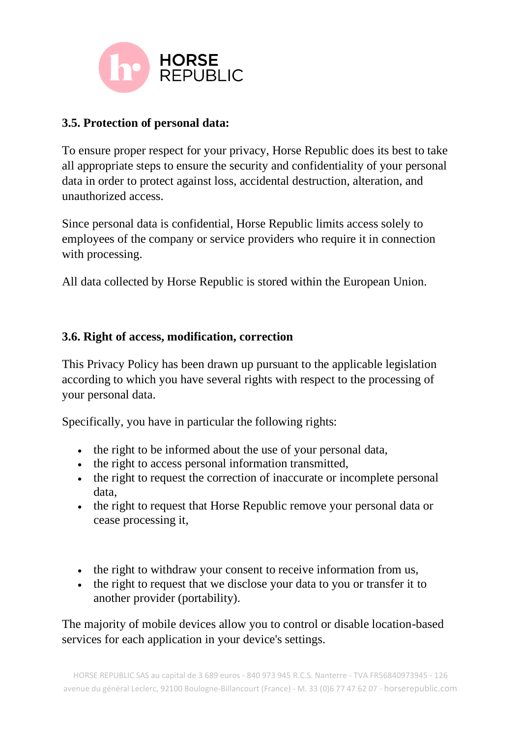

# **3.5. Protection of personal data:**

To ensure proper respect for your privacy, Horse Republic does its best to take all appropriate steps to ensure the security and confidentiality of your personal data in order to protect against loss, accidental destruction, alteration, and unauthorized access.

Since personal data is confidential, Horse Republic limits access solely to employees of the company or service providers who require it in connection with processing.

All data collected by Horse Republic is stored within the European Union.

#### **3.6. Right of access, modification, correction**

This Privacy Policy has been drawn up pursuant to the applicable legislation according to which you have several rights with respect to the processing of your personal data.

Specifically, you have in particular the following rights:

- the right to be informed about the use of your personal data,
- the right to access personal information transmitted,
- the right to request the correction of inaccurate or incomplete personal data,
- the right to request that Horse Republic remove your personal data or cease processing it,
- the right to withdraw your consent to receive information from us,
- the right to request that we disclose your data to you or transfer it to another provider (portability).

The majority of mobile devices allow you to control or disable location-based services for each application in your device's settings.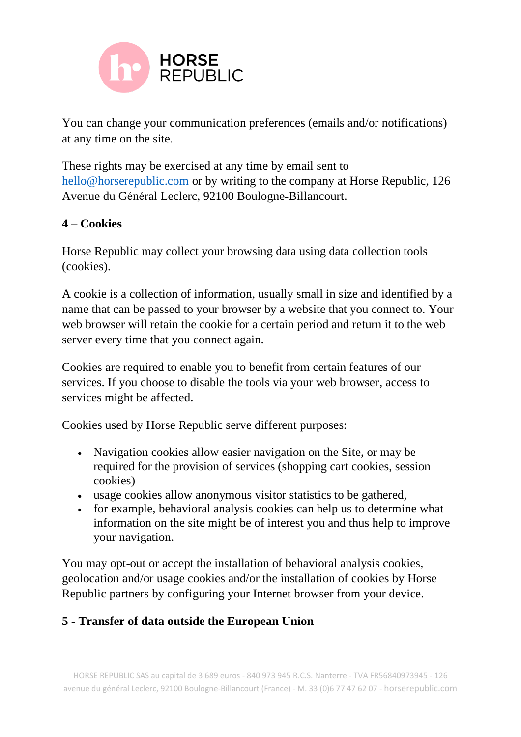

You can change your communication preferences (emails and/or notifications) at any time on the site.

These rights may be exercised at any time by email sent to hello@horserepublic.com or by writing to the company at Horse Republic, 126 Avenue du Général Leclerc, 92100 Boulogne-Billancourt.

#### **4 – Cookies**

Horse Republic may collect your browsing data using data collection tools (cookies).

A cookie is a collection of information, usually small in size and identified by a name that can be passed to your browser by a website that you connect to. Your web browser will retain the cookie for a certain period and return it to the web server every time that you connect again.

Cookies are required to enable you to benefit from certain features of our services. If you choose to disable the tools via your web browser, access to services might be affected.

Cookies used by Horse Republic serve different purposes:

- Navigation cookies allow easier navigation on the Site, or may be required for the provision of services (shopping cart cookies, session cookies)
- usage cookies allow anonymous visitor statistics to be gathered,
- for example, behavioral analysis cookies can help us to determine what information on the site might be of interest you and thus help to improve your navigation.

You may opt-out or accept the installation of behavioral analysis cookies, geolocation and/or usage cookies and/or the installation of cookies by Horse Republic partners by configuring your Internet browser from your device.

### **5 - Transfer of data outside the European Union**